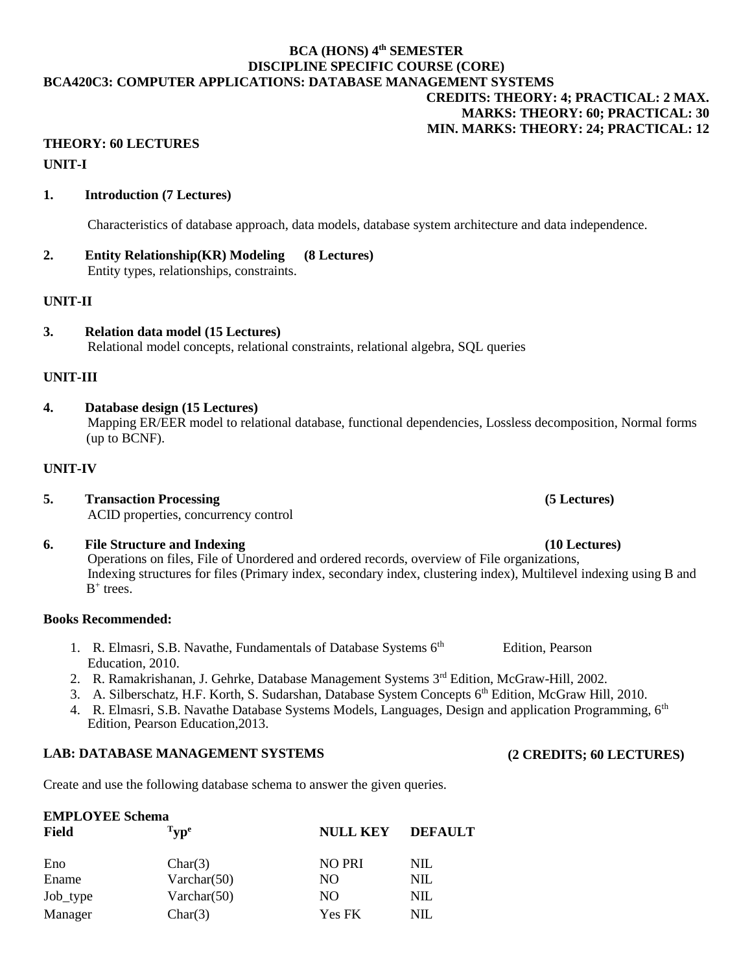## **BCA (HONS) 4th SEMESTER DISCIPLINE SPECIFIC COURSE (CORE) BCA420C3: COMPUTER APPLICATIONS: DATABASE MANAGEMENT SYSTEMS CREDITS: THEORY: 4; PRACTICAL: 2 MAX. MARKS: THEORY: 60; PRACTICAL: 30 MIN. MARKS: THEORY: 24; PRACTICAL: 12**

# **THEORY: 60 LECTURES UNIT-I**

## **1. Introduction (7 Lectures)**

Characteristics of database approach, data models, database system architecture and data independence.

#### **2. Entity Relationship(KR) Modeling (8 Lectures)** Entity types, relationships, constraints.

#### **UNIT-II**

**3. Relation data model (15 Lectures)** Relational model concepts, relational constraints, relational algebra, SQL queries

#### **UNIT-III**

**4. Database design (15 Lectures)**

Mapping ER/EER model to relational database, functional dependencies, Lossless decomposition, Normal forms (up to BCNF).

#### **UNIT-IV**

- **5. Transaction Processing (5 Lectures)** ACID properties, concurrency control
- **6. File Structure and Indexing (10 Lectures)** Operations on files, File of Unordered and ordered records, overview of File organizations, Indexing structures for files (Primary index, secondary index, clustering index), Multilevel indexing using B and  $B^+$  trees.

#### **Books Recommended:**

**EMPLOYEE Schema**

- 1. R. Elmasri, S.B. Navathe, Fundamentals of Database Systems 6<sup>th</sup> Edition, Pearson Education, 2010.
- 2. R. Ramakrishanan, J. Gehrke, Database Management Systems 3rd Edition, McGraw-Hill, 2002.
- 3. A. Silberschatz, H.F. Korth, S. Sudarshan, Database System Concepts 6<sup>th</sup> Edition, McGraw Hill, 2010.
- 4. R. Elmasri, S.B. Navathe Database Systems Models, Languages, Design and application Programming, 6<sup>th</sup> Edition, Pearson Education,2013.

## **LAB: DATABASE MANAGEMENT SYSTEMS**

Create and use the following database schema to answer the given queries.

| евтро терропови                                |                 |                |  |  |
|------------------------------------------------|-----------------|----------------|--|--|
| $\mathrm{T}_{\mathbf{V}\mathbf{D}^\mathbf{e}}$ | <b>NULL KEY</b> | <b>DEFAULT</b> |  |  |
| Char(3)                                        | <b>NO PRI</b>   | <b>NIL</b>     |  |  |
| Varchar $(50)$                                 | NO.             | NIL            |  |  |
| Varchar $(50)$                                 | NO.             | NIL            |  |  |
| Char(3)                                        | <b>Yes FK</b>   | NIL            |  |  |
|                                                |                 |                |  |  |

**(2 CREDITS; 60 LECTURES)**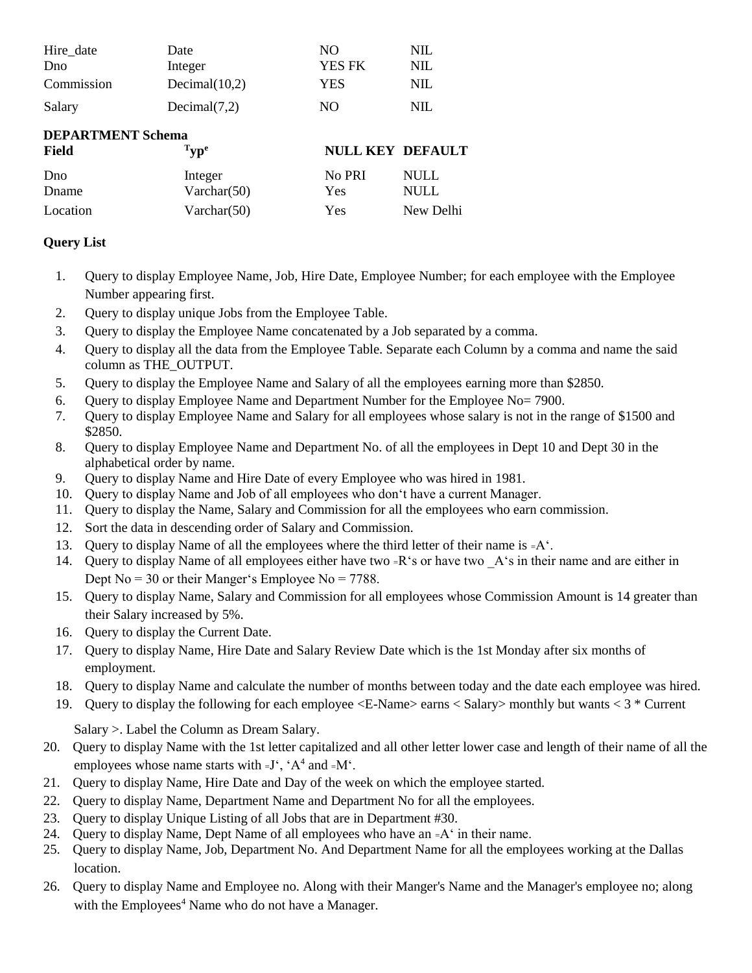| Hire_date                | Date               | NO.                     | <b>NIL</b>  |
|--------------------------|--------------------|-------------------------|-------------|
| Dno                      | Integer            | <b>YES FK</b>           | <b>NIL</b>  |
| Commission               | Decimal $(10,2)$   | YES                     | <b>NIL</b>  |
| Salary                   | Decimal(7,2)       | NO.                     | <b>NIL</b>  |
| <b>DEPARTMENT Schema</b> |                    |                         |             |
| Field                    | $T_{\rm \bf yp^e}$ | <b>NULL KEY DEFAULT</b> |             |
| Dno                      | Integer            | No PRI                  | <b>NULL</b> |
| Dname                    | Varchar $(50)$     | Yes                     | <b>NULL</b> |
| Location                 | Varchar $(50)$     | Yes                     | New Delhi   |

# **Query List**

- 1. Query to display Employee Name, Job, Hire Date, Employee Number; for each employee with the Employee Number appearing first.
- 2. Query to display unique Jobs from the Employee Table.
- 3. Query to display the Employee Name concatenated by a Job separated by a comma.
- 4. Query to display all the data from the Employee Table. Separate each Column by a comma and name the said column as THE\_OUTPUT.
- 5. Query to display the Employee Name and Salary of all the employees earning more than \$2850.
- 6. Query to display Employee Name and Department Number for the Employee No= 7900.
- 7. Query to display Employee Name and Salary for all employees whose salary is not in the range of \$1500 and \$2850.
- 8. Query to display Employee Name and Department No. of all the employees in Dept 10 and Dept 30 in the alphabetical order by name.
- 9. Query to display Name and Hire Date of every Employee who was hired in 1981.
- 10. Query to display Name and Job of all employees who don't have a current Manager.
- 11. Query to display the Name, Salary and Commission for all the employees who earn commission.
- 12. Sort the data in descending order of Salary and Commission.
- 13. Query to display Name of all the employees where the third letter of their name is  $=A^T$ .
- 14. Query to display Name of all employees either have two =R's or have two A's in their name and are either in Dept  $No = 30$  or their Manger's Employee  $No = 7788$ .
- 15. Query to display Name, Salary and Commission for all employees whose Commission Amount is 14 greater than their Salary increased by 5%.
- 16. Query to display the Current Date.
- 17. Query to display Name, Hire Date and Salary Review Date which is the 1st Monday after six months of employment.
- 18. Query to display Name and calculate the number of months between today and the date each employee was hired.
- 19. Query to display the following for each employee <E-Name> earns < Salary> monthly but wants < 3 \* Current

Salary >. Label the Column as Dream Salary.

- 20. Query to display Name with the 1st letter capitalized and all other letter lower case and length of their name of all the employees whose name starts with  $=J^{\prime}$ ,  $^{\prime}$ A<sup>4</sup> and  $=M^{\prime}$ .
- 21. Query to display Name, Hire Date and Day of the week on which the employee started.
- 22. Query to display Name, Department Name and Department No for all the employees.
- 23. Query to display Unique Listing of all Jobs that are in Department #30.
- 24. Query to display Name, Dept Name of all employees who have an =A' in their name.
- 25. Query to display Name, Job, Department No. And Department Name for all the employees working at the Dallas location.
- 26. Query to display Name and Employee no. Along with their Manger's Name and the Manager's employee no; along with the Employees<sup>4</sup> Name who do not have a Manager.